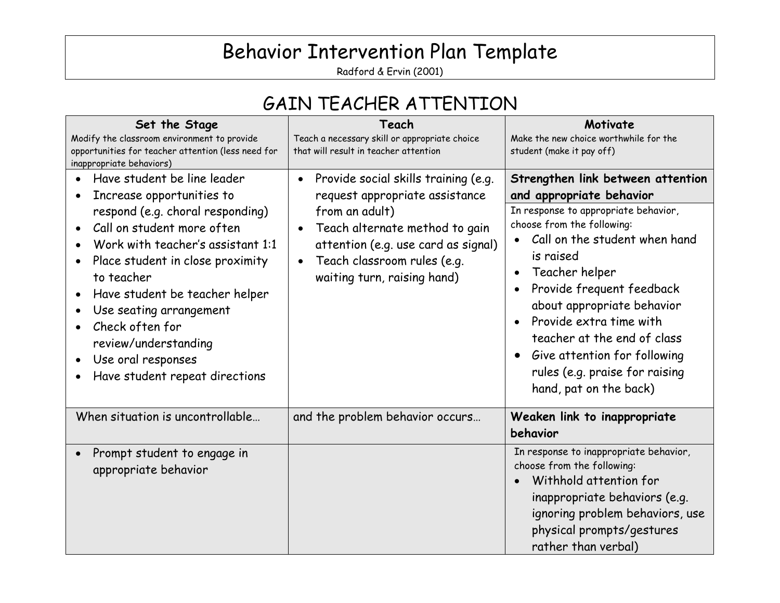# Behavior Intervention Plan Template

Radford & Ervin (2001)

#### GAIN TEACHER ATTENTION

| Set the Stage<br>Modify the classroom environment to provide<br>opportunities for teacher attention (less need for<br>inappropriate behaviors)                                                                                                                                                                                                                                                                                                     | Teach<br>Teach a necessary skill or appropriate choice<br>that will result in teacher attention                                                                                                                                 | Motivate<br>Make the new choice worthwhile for the<br>student (make it pay off)                                                                                                                                                                                                                                                                                                                                      |
|----------------------------------------------------------------------------------------------------------------------------------------------------------------------------------------------------------------------------------------------------------------------------------------------------------------------------------------------------------------------------------------------------------------------------------------------------|---------------------------------------------------------------------------------------------------------------------------------------------------------------------------------------------------------------------------------|----------------------------------------------------------------------------------------------------------------------------------------------------------------------------------------------------------------------------------------------------------------------------------------------------------------------------------------------------------------------------------------------------------------------|
| Have student be line leader<br>Increase opportunities to<br>respond (e.g. choral responding)<br>Call on student more often<br>Work with teacher's assistant 1:1<br>Place student in close proximity<br>$\bullet$<br>to teacher<br>Have student be teacher helper<br>$\bullet$<br>Use seating arrangement<br>$\bullet$<br>Check often for<br>$\bullet$<br>review/understanding<br>Use oral responses<br>$\bullet$<br>Have student repeat directions | Provide social skills training (e.g.<br>request appropriate assistance<br>from an adult)<br>Teach alternate method to gain<br>attention (e.g. use card as signal)<br>Teach classroom rules (e.g.<br>waiting turn, raising hand) | Strengthen link between attention<br>and appropriate behavior<br>In response to appropriate behavior,<br>choose from the following:<br>Call on the student when hand<br>is raised<br>Teacher helper<br>Provide frequent feedback<br>about appropriate behavior<br>Provide extra time with<br>teacher at the end of class<br>Give attention for following<br>rules (e.g. praise for raising<br>hand, pat on the back) |
| When situation is uncontrollable                                                                                                                                                                                                                                                                                                                                                                                                                   | and the problem behavior occurs                                                                                                                                                                                                 | Weaken link to inappropriate<br>behavior                                                                                                                                                                                                                                                                                                                                                                             |
| Prompt student to engage in<br>appropriate behavior                                                                                                                                                                                                                                                                                                                                                                                                |                                                                                                                                                                                                                                 | In response to inappropriate behavior,<br>choose from the following:<br>Withhold attention for<br>inappropriate behaviors (e.g.<br>ignoring problem behaviors, use<br>physical prompts/gestures<br>rather than verbal)                                                                                                                                                                                               |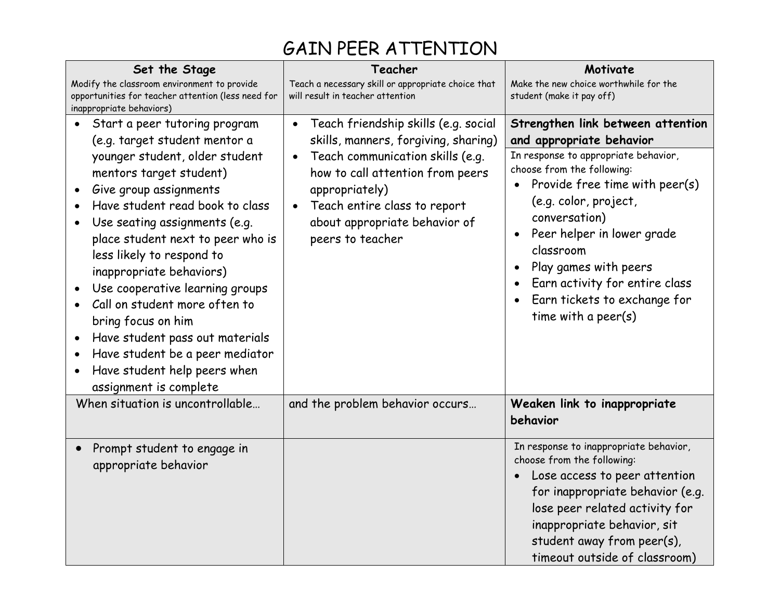### GAIN PEER ATTENTION

| Set the Stage<br>Modify the classroom environment to provide<br>opportunities for teacher attention (less need for                                                                                                                                                                                                                                                                                                                                                                                                                                             | Teacher<br>Teach a necessary skill or appropriate choice that<br>will result in teacher attention                                                                                                                                                                                                  | Motivate<br>Make the new choice worthwhile for the                                                                                                                                                                                                                                                                                                                           |
|----------------------------------------------------------------------------------------------------------------------------------------------------------------------------------------------------------------------------------------------------------------------------------------------------------------------------------------------------------------------------------------------------------------------------------------------------------------------------------------------------------------------------------------------------------------|----------------------------------------------------------------------------------------------------------------------------------------------------------------------------------------------------------------------------------------------------------------------------------------------------|------------------------------------------------------------------------------------------------------------------------------------------------------------------------------------------------------------------------------------------------------------------------------------------------------------------------------------------------------------------------------|
| inappropriate behaviors)                                                                                                                                                                                                                                                                                                                                                                                                                                                                                                                                       |                                                                                                                                                                                                                                                                                                    | student (make it pay off)                                                                                                                                                                                                                                                                                                                                                    |
| Start a peer tutoring program<br>(e.g. target student mentor a<br>younger student, older student<br>mentors target student)<br>Give group assignments<br>Have student read book to class<br>Use seating assignments (e.g.<br>place student next to peer who is<br>less likely to respond to<br>inappropriate behaviors)<br>Use cooperative learning groups<br>Call on student more often to<br>bring focus on him<br>Have student pass out materials<br>Have student be a peer mediator<br>Have student help peers when<br>$\bullet$<br>assignment is complete | Teach friendship skills (e.g. social<br>$\bullet$<br>skills, manners, forgiving, sharing)<br>Teach communication skills (e.g.<br>$\bullet$<br>how to call attention from peers<br>appropriately)<br>Teach entire class to report<br>$\bullet$<br>about appropriate behavior of<br>peers to teacher | Strengthen link between attention<br>and appropriate behavior<br>In response to appropriate behavior,<br>choose from the following:<br>Provide free time with peer(s)<br>(e.g. color, project,<br>conversation)<br>Peer helper in lower grade<br>classroom<br>Play games with peers<br>Earn activity for entire class<br>Earn tickets to exchange for<br>time with a peer(s) |
| When situation is uncontrollable                                                                                                                                                                                                                                                                                                                                                                                                                                                                                                                               | and the problem behavior occurs                                                                                                                                                                                                                                                                    | Weaken link to inappropriate<br>behavior                                                                                                                                                                                                                                                                                                                                     |
| Prompt student to engage in<br>appropriate behavior                                                                                                                                                                                                                                                                                                                                                                                                                                                                                                            |                                                                                                                                                                                                                                                                                                    | In response to inappropriate behavior,<br>choose from the following:<br>Lose access to peer attention<br>for inappropriate behavior (e.g.<br>lose peer related activity for<br>inappropriate behavior, sit<br>student away from peer(s),<br>timeout outside of classroom)                                                                                                    |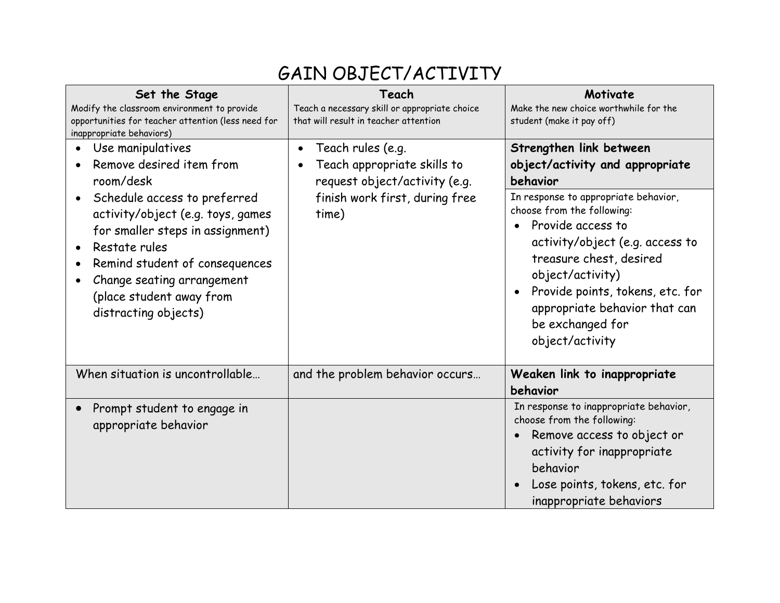#### GAIN OBJECT/ACTIVITY

| Set the Stage<br>Modify the classroom environment to provide<br>opportunities for teacher attention (less need for<br>inappropriate behaviors)                                                                                                                                                                        | Teach<br>Teach a necessary skill or appropriate choice<br>that will result in teacher attention                                           | Motivate<br>Make the new choice worthwhile for the<br>student (make it pay off)                                                                                                                                                                                                                                                                                 |
|-----------------------------------------------------------------------------------------------------------------------------------------------------------------------------------------------------------------------------------------------------------------------------------------------------------------------|-------------------------------------------------------------------------------------------------------------------------------------------|-----------------------------------------------------------------------------------------------------------------------------------------------------------------------------------------------------------------------------------------------------------------------------------------------------------------------------------------------------------------|
| Use manipulatives<br>Remove desired item from<br>room/desk<br>Schedule access to preferred<br>$\bullet$<br>activity/object (e.g. toys, games<br>for smaller steps in assignment)<br>Restate rules<br>Remind student of consequences<br>Change seating arrangement<br>(place student away from<br>distracting objects) | Teach rules (e.g.<br>$\bullet$<br>Teach appropriate skills to<br>request object/activity (e.g.<br>finish work first, during free<br>time) | Strengthen link between<br>object/activity and appropriate<br>behavior<br>In response to appropriate behavior,<br>choose from the following:<br>Provide access to<br>activity/object (e.g. access to<br>treasure chest, desired<br>object/activity)<br>Provide points, tokens, etc. for<br>appropriate behavior that can<br>be exchanged for<br>object/activity |
| When situation is uncontrollable                                                                                                                                                                                                                                                                                      | and the problem behavior occurs                                                                                                           | Weaken link to inappropriate<br>behavior                                                                                                                                                                                                                                                                                                                        |
| Prompt student to engage in<br>appropriate behavior                                                                                                                                                                                                                                                                   |                                                                                                                                           | In response to inappropriate behavior,<br>choose from the following:<br>Remove access to object or<br>activity for inappropriate<br>behavior<br>Lose points, tokens, etc. for<br>inappropriate behaviors                                                                                                                                                        |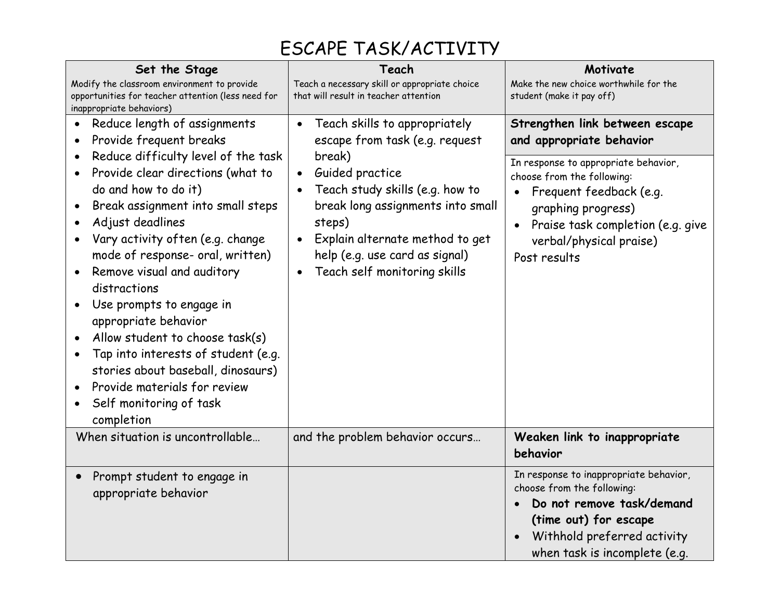# ESCAPE TASK/ACTIVITY

| Set the Stage<br>Modify the classroom environment to provide<br>opportunities for teacher attention (less need for<br>inappropriate behaviors)                                                                                                                                                                                                                                                                                                                                                                                                         | Teach<br>Teach a necessary skill or appropriate choice<br>that will result in teacher attention                                                                                                                               | Motivate<br>Make the new choice worthwhile for the<br>student (make it pay off)                                                                                                                     |
|--------------------------------------------------------------------------------------------------------------------------------------------------------------------------------------------------------------------------------------------------------------------------------------------------------------------------------------------------------------------------------------------------------------------------------------------------------------------------------------------------------------------------------------------------------|-------------------------------------------------------------------------------------------------------------------------------------------------------------------------------------------------------------------------------|-----------------------------------------------------------------------------------------------------------------------------------------------------------------------------------------------------|
| Reduce length of assignments<br>Provide frequent breaks                                                                                                                                                                                                                                                                                                                                                                                                                                                                                                | Teach skills to appropriately<br>$\bullet$<br>escape from task (e.g. request                                                                                                                                                  | Strengthen link between escape<br>and appropriate behavior                                                                                                                                          |
| Reduce difficulty level of the task<br>$\bullet$<br>Provide clear directions (what to<br>do and how to do it)<br>Break assignment into small steps<br>Adjust deadlines<br>Vary activity often (e.g. change<br>mode of response- oral, written)<br>Remove visual and auditory<br>distractions<br>Use prompts to engage in<br>appropriate behavior<br>Allow student to choose task(s)<br>Tap into interests of student (e.g.<br>stories about baseball, dinosaurs)<br>Provide materials for review<br>Self monitoring of task<br>$\bullet$<br>completion | break)<br>Guided practice<br>$\bullet$<br>Teach study skills (e.g. how to<br>break long assignments into small<br>steps)<br>Explain alternate method to get<br>help (e.g. use card as signal)<br>Teach self monitoring skills | In response to appropriate behavior,<br>choose from the following:<br>Frequent feedback (e.g.<br>graphing progress)<br>Praise task completion (e.g. give<br>verbal/physical praise)<br>Post results |
| When situation is uncontrollable                                                                                                                                                                                                                                                                                                                                                                                                                                                                                                                       | and the problem behavior occurs                                                                                                                                                                                               | Weaken link to inappropriate<br>behavior                                                                                                                                                            |
| Prompt student to engage in<br>$\bullet$<br>appropriate behavior                                                                                                                                                                                                                                                                                                                                                                                                                                                                                       |                                                                                                                                                                                                                               | In response to inappropriate behavior,<br>choose from the following:<br>Do not remove task/demand<br>(time out) for escape<br>Withhold preferred activity<br>when task is incomplete (e.g.          |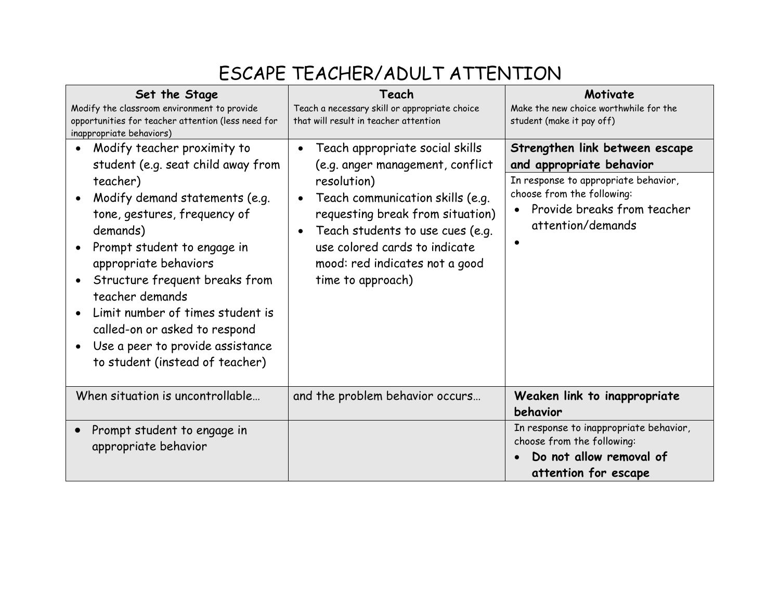### ESCAPE TEACHER/ADULT ATTENTION

| Set the Stage<br>Modify the classroom environment to provide<br>opportunities for teacher attention (less need for<br>inappropriate behaviors)                                                                                                                                                                                                                                                                                    | Teach<br>Teach a necessary skill or appropriate choice<br>that will result in teacher attention                                                                                                                                                                                        | Motivate<br>Make the new choice worthwhile for the<br>student (make it pay off)                                                                                                      |
|-----------------------------------------------------------------------------------------------------------------------------------------------------------------------------------------------------------------------------------------------------------------------------------------------------------------------------------------------------------------------------------------------------------------------------------|----------------------------------------------------------------------------------------------------------------------------------------------------------------------------------------------------------------------------------------------------------------------------------------|--------------------------------------------------------------------------------------------------------------------------------------------------------------------------------------|
| Modify teacher proximity to<br>$\bullet$<br>student (e.g. seat child away from<br>teacher)<br>Modify demand statements (e.g.<br>tone, gestures, frequency of<br>demands)<br>Prompt student to engage in<br>appropriate behaviors<br>Structure frequent breaks from<br>teacher demands<br>Limit number of times student is<br>called-on or asked to respond<br>Use a peer to provide assistance<br>to student (instead of teacher) | Teach appropriate social skills<br>(e.g. anger management, conflict<br>resolution)<br>Teach communication skills (e.g.<br>requesting break from situation)<br>Teach students to use cues (e.g.<br>use colored cards to indicate<br>mood: red indicates not a good<br>time to approach) | Strengthen link between escape<br>and appropriate behavior<br>In response to appropriate behavior,<br>choose from the following:<br>Provide breaks from teacher<br>attention/demands |
| When situation is uncontrollable<br>Prompt student to engage in<br>appropriate behavior                                                                                                                                                                                                                                                                                                                                           | and the problem behavior occurs                                                                                                                                                                                                                                                        | Weaken link to inappropriate<br>behavior<br>In response to inappropriate behavior,<br>choose from the following:<br>Do not allow removal of<br>attention for escape                  |